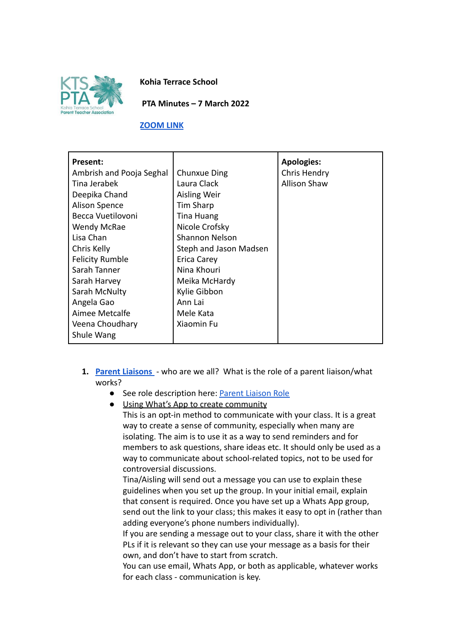

**Kohia Terrace School**

**PTA Minutes – 7 March 2022**

#### **[ZOOM LINK](https://us02web.zoom.us/j/85044214640?pwd=SDhZRDc0OCtHSjBqOFRNZkIrY1BHZz09)**

| <b>Present:</b>          |                        | <b>Apologies:</b>   |
|--------------------------|------------------------|---------------------|
| Ambrish and Pooja Seghal | <b>Chunxue Ding</b>    | Chris Hendry        |
| Tina Jerabek             | Laura Clack            | <b>Allison Shaw</b> |
| Deepika Chand            | Aisling Weir           |                     |
| <b>Alison Spence</b>     | Tim Sharp              |                     |
| Becca Vuetilovoni        | Tina Huang             |                     |
| Wendy McRae              | Nicole Crofsky         |                     |
| Lisa Chan                | Shannon Nelson         |                     |
| Chris Kelly              | Steph and Jason Madsen |                     |
| <b>Felicity Rumble</b>   | <b>Erica Carey</b>     |                     |
| Sarah Tanner             | Nina Khouri            |                     |
| Sarah Harvey             | Meika McHardy          |                     |
| Sarah McNulty            | Kylie Gibbon           |                     |
| Angela Gao               | Ann Lai                |                     |
| Aimee Metcalfe           | Mele Kata              |                     |
| Veena Choudhary          | Xiaomin Fu             |                     |
| Shule Wang               |                        |                     |

- **1. [Parent Liaisons](https://docs.google.com/document/d/1CUS4Svw13ldFOspg67V0pPGPcR08sIdIhgRvkWc7DHw/edit?usp=sharing)** who are we all? What is the role of a parent liaison/what works?
	- See role description here: [Parent Liaison Role](https://docs.google.com/document/d/1Z_DNCHqTgtldgDeKNDCgE_GPORx4TKLzT3qR2goz_Fw/edit?usp=sharing)

● Using What's App to create community This is an opt-in method to communicate with your class. It is a great way to create a sense of community, especially when many are isolating. The aim is to use it as a way to send reminders and for members to ask questions, share ideas etc. It should only be used as a way to communicate about school-related topics, not to be used for controversial discussions.

Tina/Aisling will send out a message you can use to explain these guidelines when you set up the group. In your initial email, explain that consent is required. Once you have set up a Whats App group, send out the link to your class; this makes it easy to opt in (rather than adding everyone's phone numbers individually).

If you are sending a message out to your class, share it with the other PLs if it is relevant so they can use your message as a basis for their own, and don't have to start from scratch.

You can use email, Whats App, or both as applicable, whatever works for each class - communication is key.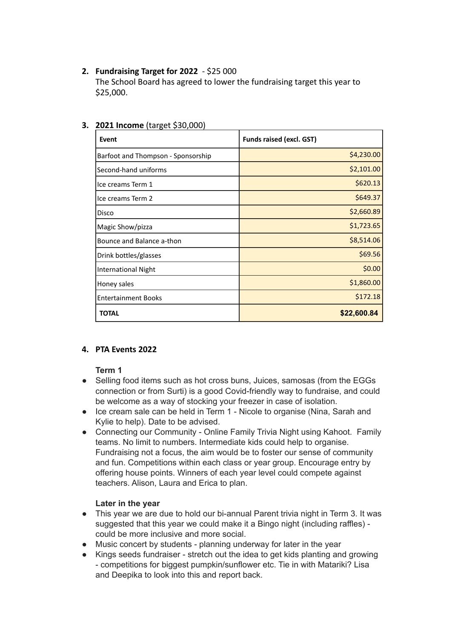## **2. Fundraising Target for 2022** - \$25 000

The School Board has agreed to lower the fundraising target this year to \$25,000.

| Event                              | Funds raised (excl. GST) |
|------------------------------------|--------------------------|
| Barfoot and Thompson - Sponsorship | \$4,230.00               |
| Second-hand uniforms               | \$2,101.00               |
| llce creams Term 1                 | \$620.13                 |
| llce creams Term 2                 | \$649.37                 |
| Disco                              | \$2,660.89               |
| Magic Show/pizza                   | \$1,723.65               |
| Bounce and Balance a-thon          | \$8,514.06               |
| Drink bottles/glasses              | \$69.56                  |
| International Night                | \$0.00                   |
| Honey sales                        | \$1,860.00               |
| <b>Entertainment Books</b>         | \$172.18                 |
| <b>TOTAL</b>                       | \$22,600.84              |

# **3. 2021 Income** (target \$30,000)

### **4. PTA Events 2022**

#### **Term 1**

- Selling food items such as hot cross buns, Juices, samosas (from the EGGs) connection or from Surti) is a good Covid-friendly way to fundraise, and could be welcome as a way of stocking your freezer in case of isolation.
- Ice cream sale can be held in Term 1 Nicole to organise (Nina, Sarah and Kylie to help). Date to be advised.
- Connecting our Community Online Family Trivia Night using Kahoot. Family teams. No limit to numbers. Intermediate kids could help to organise. Fundraising not a focus, the aim would be to foster our sense of community and fun. Competitions within each class or year group. Encourage entry by offering house points. Winners of each year level could compete against teachers. Alison, Laura and Erica to plan.

### **Later in the year**

- This year we are due to hold our bi-annual Parent trivia night in Term 3. It was suggested that this year we could make it a Bingo night (including raffles) could be more inclusive and more social.
- Music concert by students planning underway for later in the year
- Kings seeds fundraiser stretch out the idea to get kids planting and growing - competitions for biggest pumpkin/sunflower etc. Tie in with Matariki? Lisa and Deepika to look into this and report back.